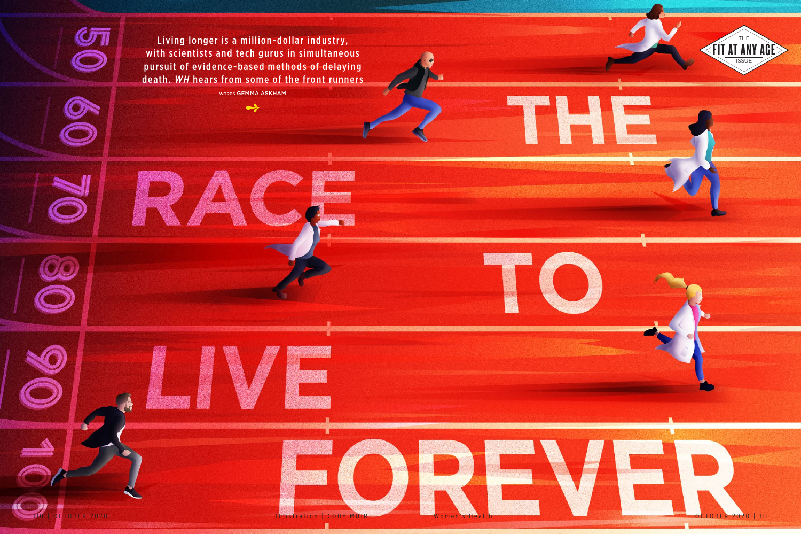

**ASS** 



FIT AT ANY AGE Living longer is a million-dollar industry, the state of the state of the state of the state of the state of the state of the state of the state of the state of the state of the state of the state of the sta pursuit of evidence-based methods of delaying death. *WH* hears from some of the front runners

OO

 $\blacktriangleright$ 

words GEMMA ASKHAM

 $\rightarrow$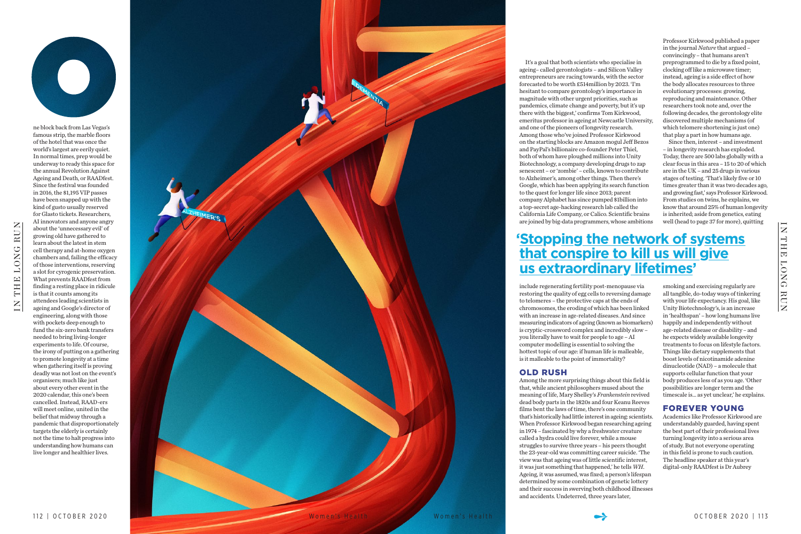

IN THE LONG RUN

 $\overline{z}$ 

THE LONG RUN



ne block back from Las Vegas's famous strip, the marble floors of the hotel that was once the world's largest are eerily quiet. In normal times, prep would be underway to ready this space for the annual Revolution Against Ageing and Death, or RAADfest. Since the festival was founded in 2016, the \$1,195 VIP passes have been snapped up with the kind of gusto usually reserved for Glasto tickets. Researchers, AI innovators and anyone angry about the 'unnecessary evil' of growing old have gathered to learn about the latest in stem cell therapy and at-home oxygen chambers and, failing the efficacy of those interventions, reserving a slot for cyrogenic preservation. What prevents RAADfest from finding a resting place in ridicule is that it counts among its attendees leading scientists in ageing and Google's director of engineering, along with those with pockets deep enough to fund the six-zero bank transfers needed to bring living-longer experiments to life. Of course, the irony of putting on a gathering to promote longevity at a time when gathering itself is proving deadly was not lost on the event's organisers; much like just about every other event in the 2020 calendar, this one's been cancelled. Instead, RAAD-ers will meet online, united in the belief that midway through a pandemic that disproportionately targets the elderly is certainly not the time to halt progress into understanding how humans can

live longer and healthier lives.

It's a goal that both scientists who specialise in ageing– called gerontologists – and Silicon Valley entrepreneurs are racing towards, with the sector forecasted to be worth £514million by 2023. 'I'm hesitant to compare gerontology's importance in magnitude with other urgent priorities, such as pandemics, climate change and poverty, but it's up there with the biggest,' confirms Tom Kirkwood, emeritus professor in ageing at Newcastle University, and one of the pioneers of longevity research. Among those who've joined Professor Kirkwood on the starting blocks are Amazon mogul Jeff Bezos and PayPal's billionaire co-founder Peter Thiel, both of whom have ploughed millions into Unity Biotechnology, a company developing drugs to zap senescent – or 'zombie' – cells, known to contribute to Alzheimer's, among other things. Then there's Google, which has been applying its search function to the quest for longer life since 2013; parent company Alphabet has since pumped \$1billion into a top-secret age-hacking research lab called the California Life Company, or Calico. Scientific brains are joined by big-data programmers, whose ambitions

include regenerating fertility post-menopause via restoring the quality of egg cells to reversing damage to telomeres – the protective caps at the ends of chromosomes, the eroding of which has been linked with an increase in age-related diseases. And since measuring indicators of ageing (known as biomarkers) is cryptic-crossword complex and incredibly slow – you literally have to wait for people to age – AI computer modelling is essential to solving the hottest topic of our age: if human life is malleable, is it malleable to the point of immortality?

# **<u>Stopping the network of systems</u> that cons pire to kill us will give us extraordinar y lifetimes'**

### OLD RUSH

Among the more surprising things about this field is that, while ancient philosophers mused about the meaning of life, Mary Shelley's *Frankenstein* revived dead body parts in the 1820s and four Keanu Reeves films bent the laws of time, there's one community that's historically had little interest in ageing: scientists. When Professor Kirkwood began researching ageing in 1974 – fascinated by why a freshwater creature called a hydra could live forever, while a mouse struggles to survive three years – his peers thought the 23-year-old was committing career suicide. 'The view was that ageing was of little scientific interest, it was just something that happened,' he tells *WH*. Ageing, it was assumed, was fixed; a person's lifespan determined by some combination of genetic lottery and their success in swerving both childhood illnesses and accidents. Undeterred, three years later,

Professor Kirkwood published a paper in the journal *Nature* that argued – convincingly – that humans aren't preprogrammed to die by a fixed point, clocking off like a microwave timer; instead, ageing is a side effect of how the body allocates resources to three evolutionary processes: growing, reproducing and maintenance. Other researchers took note and, over the following decades, the gerontology elite discovered multiple mechanisms (of which telomere shortening is just one) that play a part in how humans age.

Since then, interest – and investment – in longevity research has exploded. Today, there are 500 labs globally with a clear focus in this area – 15 to 20 of which are in the UK – and 25 drugs in various stages of testing. 'That's likely five or 10 times greater than it was two decades ago, and growing fast,' says Professor Kirkwood. From studies on twins, he explains, we know that around 25% of human longevity is inherited; aside from genetics, eating well (head to page 37 for more), quitting

smoking and exercising regularly are all tangible, do-today ways of tinkering with your life expectancy. His goal, like Unity Biotechnology's, is an increase in 'healthspan' – how long humans live happily and independently without age-related disease or disability – and he expects widely available longevity treatments to focus on lifestyle factors. Things like dietary supplements that boost levels of nicotinamide adenine dinucleotide (NAD) – a molecule that supports cellular function that your body produces less of as you age. 'Other possibilities are longer term and the timescale is... as yet unclear,' he explains.

### FOREVER YOUNG

Academics like Professor Kirkwood are understandably guarded, having spent the best part of their professional lives turning longevity into a serious area of study. But not everyone operating in this field is prone to such caution. The headline speaker at this year's digital-only RAADfest is Dr Aubrey